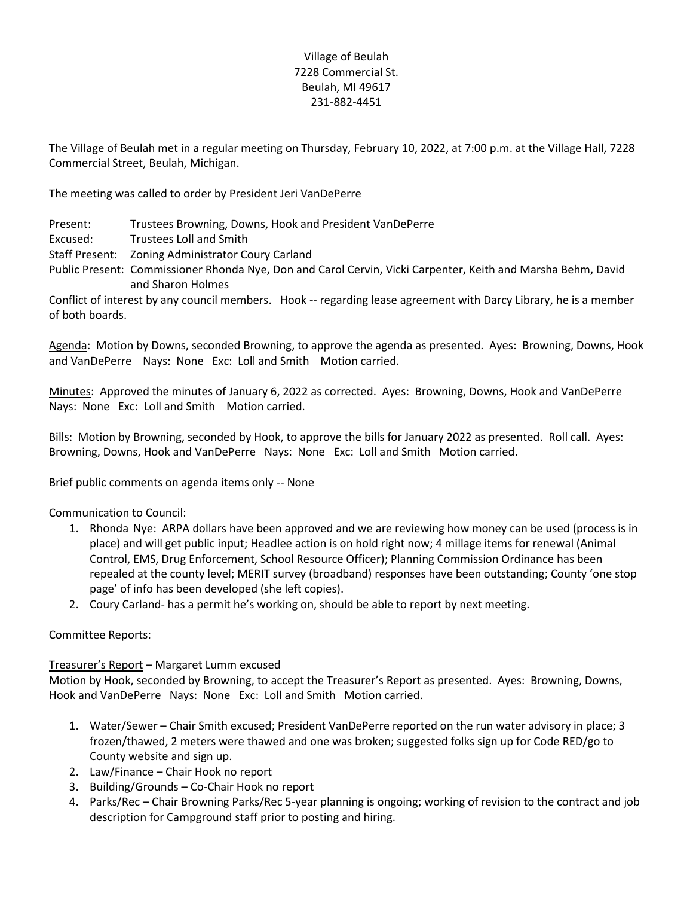## Village of Beulah 7228 Commercial St. Beulah, MI 49617 231-882-4451

The Village of Beulah met in a regular meeting on Thursday, February 10, 2022, at 7:00 p.m. at the Village Hall, 7228 Commercial Street, Beulah, Michigan.

The meeting was called to order by President Jeri VanDePerre

Present: Trustees Browning, Downs, Hook and President VanDePerre

Excused: Trustees Loll and Smith

Staff Present: Zoning Administrator Coury Carland

Public Present: Commissioner Rhonda Nye, Don and Carol Cervin, Vicki Carpenter, Keith and Marsha Behm, David and Sharon Holmes

Conflict of interest by any council members. Hook -- regarding lease agreement with Darcy Library, he is a member of both boards.

Agenda: Motion by Downs, seconded Browning, to approve the agenda as presented. Ayes: Browning, Downs, Hook and VanDePerre Nays: None Exc: Loll and Smith Motion carried.

Minutes: Approved the minutes of January 6, 2022 as corrected. Ayes: Browning, Downs, Hook and VanDePerre Nays: None Exc: Loll and Smith Motion carried.

Bills: Motion by Browning, seconded by Hook, to approve the bills for January 2022 as presented. Roll call. Ayes: Browning, Downs, Hook and VanDePerre Nays: None Exc: Loll and Smith Motion carried.

Brief public comments on agenda items only -- None

Communication to Council:

- 1. Rhonda Nye: ARPA dollars have been approved and we are reviewing how money can be used (process is in place) and will get public input; Headlee action is on hold right now; 4 millage items for renewal (Animal Control, EMS, Drug Enforcement, School Resource Officer); Planning Commission Ordinance has been repealed at the county level; MERIT survey (broadband) responses have been outstanding; County 'one stop page' of info has been developed (she left copies).
- 2. Coury Carland- has a permit he's working on, should be able to report by next meeting.

Committee Reports:

## Treasurer's Report – Margaret Lumm excused

Motion by Hook, seconded by Browning, to accept the Treasurer's Report as presented. Ayes: Browning, Downs, Hook and VanDePerre Nays: None Exc: Loll and Smith Motion carried.

- 1. Water/Sewer Chair Smith excused; President VanDePerre reported on the run water advisory in place; 3 frozen/thawed, 2 meters were thawed and one was broken; suggested folks sign up for Code RED/go to County website and sign up.
- 2. Law/Finance Chair Hook no report
- 3. Building/Grounds Co-Chair Hook no report
- 4. Parks/Rec Chair Browning Parks/Rec 5-year planning is ongoing; working of revision to the contract and job description for Campground staff prior to posting and hiring.